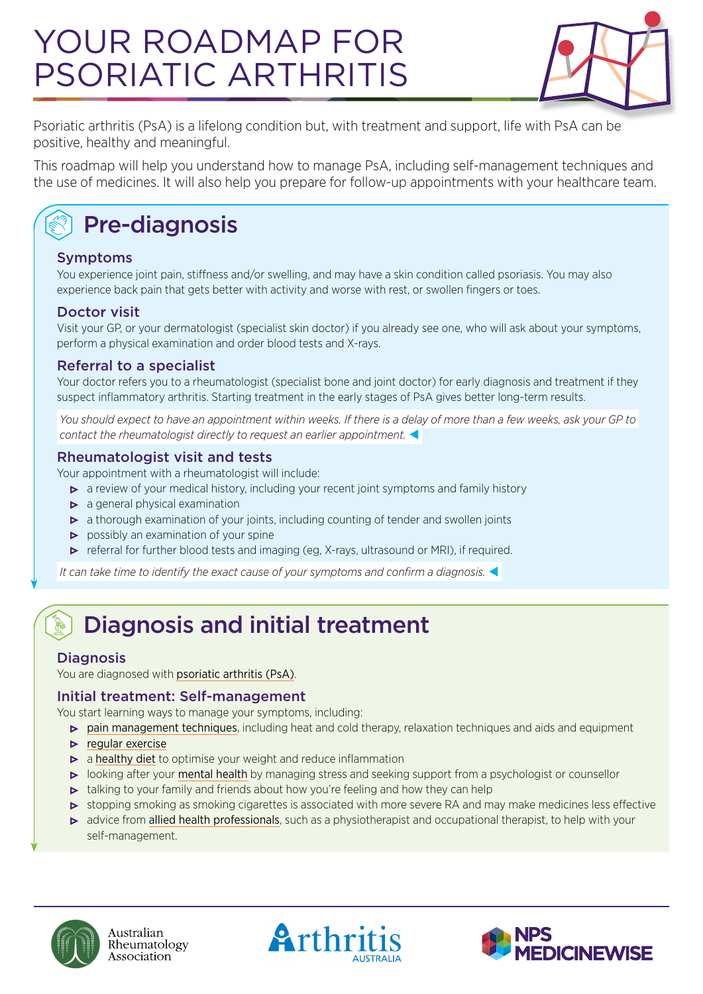# YOUR ROADMAP FOR PSORIATIC ARTHRITIS



Psoriatic arthritis (PsA) is a lifelong condition but, with treatment and support, life with PsA can be positive, healthy and meaningful.

This roadmap will help you understand how to manage PsA, including self-management techniques and the use of medicines. It will also help you prepare for follow-up appointments with your healthcare team.

## Pre-diagnosis

#### Symptoms

You experience joint pain, stiffness and/or swelling, and may have a skin condition called psoriasis. You may also experience back pain that gets better with activity and worse with rest, or swollen fingers or toes.

#### Doctor visit

Visit your GP, or your dermatologist (specialist skin doctor) if you already see one, who will ask about your symptoms, perform a physical examination and order blood tests and X-rays.

#### Referral to a specialist

Your doctor refers you to a rheumatologist (specialist bone and joint doctor) for early diagnosis and treatment if they suspect inflammatory arthritis. Starting treatment in the early stages of PsA gives better long-term results.

 *You should expect to have an appointment within weeks. If there is a delay of more than a few weeks, ask your GP to contact the rheumatologist directly to request an earlier appointment.* 

#### Rheumatologist visit and tests

Your appointment with a rheumatologist will include:

- a review of your medical history, including your recent joint symptoms and family history
- $\triangleright$  a general physical examination
- $\triangleright$  a thorough examination of your joints, including counting of tender and swollen joints
- **•** possibly an examination of your spine
- referral for further blood tests and imaging (eg, X-rays, ultrasound or MRI), if required.

 *It can take time to identify the exact cause of your symptoms and confirm a diagnosis.* 

## Diagnosis and initial treatment

#### **Diagnosis**

You are diagnosed with [psoriatic arthritis \(PsA\)](https://arthritisaustralia.com.au/types-of-arthritis/psoriatic-arthritis/)[.](https://arthritisaustralia.com.au/types-of-arthritis/psoriatic-arthritis/)

#### Initial treatment: Self-management

You start learning ways to manage your symptoms, including:

- **•** [pain management techniques](https://arthritisaustralia.com.au/managing-arthritis/living-with-arthritis/dealing-with-pain/), including heat and cold therapy, relaxation techniques and aids and equipment
- $\blacktriangleright$  [regular exercise](https://arthritisaustralia.com.au/managing-arthritis/living-with-arthritis/physical-activity-and-exercise/)
- $\triangleright$  a [healthy diet](https://arthritisaustralia.com.au/managing-arthritis/living-with-arthritis/healthy-eating/) to optimise your weight and reduce inflammation
- looking after your [mental health](https://arthritisaustralia.com.au/managing-arthritis/living-with-arthritis/arthritis-and-emotions/) by managing stress and seeking support from a psychologist or counsellor
- talking to your family and friends about how you're feeling and how they can help
- stopping smoking as smoking cigarettes is associated with more severe RA and may make medicines less effective
- $\triangleright$  advice from [allied health professionals](https://arthritisaustralia.com.au/managing-arthritis/medical-management/working-with-your-healthcare-team/), such as a physiotherapist and occupational therapist, to help with your self-management.





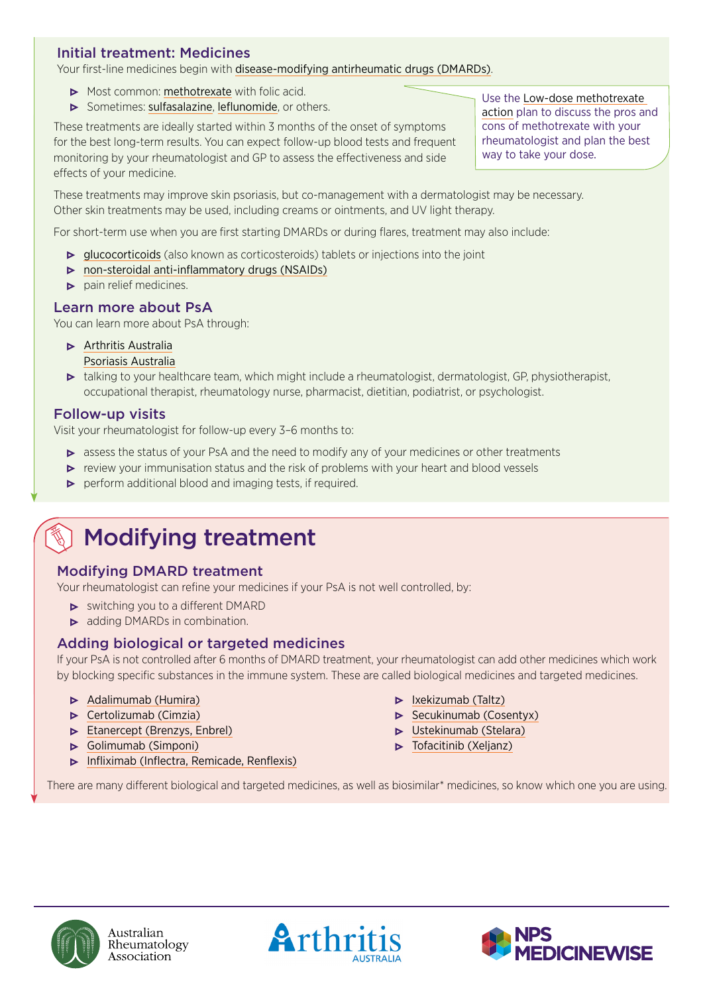#### Initial treatment: Medicines

Your first-line medicines begin with [disease-modifying antirheumatic drugs \(DMARDs\)](https://arthritisaustralia.com.au/managing-arthritis/medical-management/medicines/disease-modifying-anti-rheumatic-drugs-dmards/).

- Most common: [methotrexate](https://rheumatology.org.au/patients/documents/Methotrexate_2019v2.pdf) with folic acid.
- **•** Sometimes: [sulfasalazine](https://rheumatology.org.au/patients/documents/Sulfasalazine_2019.pdf), [leflunomide](https://rheumatology.org.au/patients/documents/Leflunomide_Nov2019.pdf), or others.

These treatments are ideally started within 3 months of the onset of symptoms for the best long-term results. You can expect follow-up blood tests and frequent monitoring by your rheumatologist and GP to assess the effectiveness and side effects of your medicine.

Use the [Low-dose methotrexate](http://www.nps.org.au/bdmards/rheumatological-conditions)  [action](http://www.nps.org.au/bdmards/rheumatological-conditions) plan to discuss the pros and cons of methotrexate with your rheumatologist and plan the best way to take your dose.

These treatments may improve skin psoriasis, but co-management with a dermatologist may be necessary. Other skin treatments may be used, including creams or ointments, and UV light therapy.

For short-term use when you are first starting DMARDs or during flares, treatment may also include:

- [glucocorticoids](https://rheumatology.org.au/patients/documents/Prednisolone_2019.pdf) (also known as corticosteroids) tablets or injections into the joint
- [non-steroidal anti-inflammatory drugs \(NSAIDs\)](https://rheumatology.org.au/patients/documents/NSAIDS_2019v2.pdf)
- $\triangleright$  pain relief medicines.

#### Learn more about PsA

You can learn more about PsA through:

**• [Arthritis Australia](https://arthritisaustralia.com.au/)** 

[Psoriasis Australia](http://www.psoriasisaustralia.org.au/morethanmyskin/psoriatic-arthritis/)

• talking to your healthcare team, which might include a rheumatologist, dermatologist, GP, physiotherapist, occupational therapist, rheumatology nurse, pharmacist, dietitian, podiatrist, or psychologist.

#### Follow-up visits

Visit your rheumatologist for follow-up every 3–6 months to:

- **assess the status of your PsA and the need to modify any of your medicines or other treatments**
- review your immunisation status and the risk of problems with your heart and blood vessels
- **•** perform additional blood and imaging tests, if required.

### Modifying treatment

#### Modifying DMARD treatment

Your rheumatologist can refine your medicines if your PsA is not well controlled, by:

- $\triangleright$  switching you to a different DMARD
- adding DMARDs in combination.

#### Adding biological or targeted medicines

If your PsA is not controlled after 6 months of DMARD treatment, your rheumatologist can add other medicines which work by blocking specific substances in the immune system. These are called biological medicines and targeted medicines.

- [Adalimumab \(Humira\)](https://rheumatology.org.au/patients/documents/Adalimumab_Apr2019.pdf)
- **•** [Certolizumab \(Cimzia\)](https://rheumatology.org.au/patients/documents/Certolizumab_2019.pdf)
- **[Etanercept \(Brenzys, Enbrel\)](https://rheumatology.org.au/patients/documents/Etanercept_2019.pdf)**
- [Golimumab \(Simponi\)](https://rheumatology.org.au/patients/documents/Golimumab_2019.pdf)
- **•** [Infliximab \(Inflectra, Remicade, Renflexis\)](https://rheumatology.org.au/patients/documents/Infliximab_2019.pdf)
- [Ixekizumab \(Taltz\)](https://rheumatology.org.au/patients/documents/Ixekizumab_July19v3.pdf)
- **•** [Secukinumab \(Cosentyx\)](https://rheumatology.org.au/patients/documents/Secukinumab_2019.pdf)
- **•** [Ustekinumab \(Stelara\)](https://rheumatology.org.au/patients/documents/Ustekinumab_2019.pdf)
- $\triangleright$  Tofacitinib (Xelianz)

There are many different biological and targeted medicines, as well as biosimilar\* medicines, so know which one you are using.